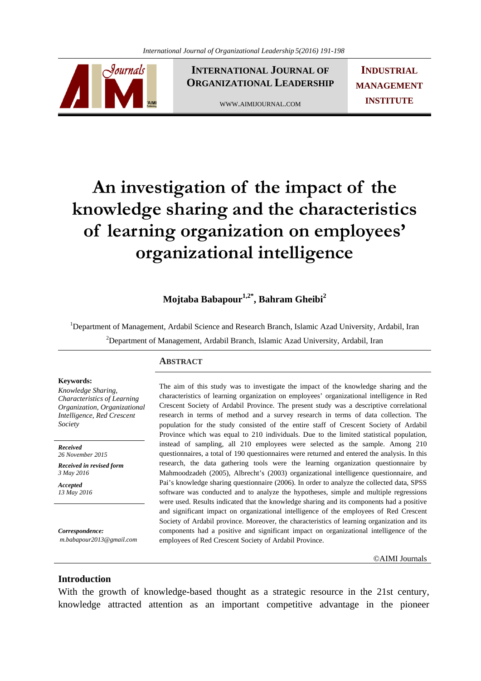

**INTERNATIONAL JOURNAL OF ORGANIZATIONAL LEADERSHIP**

WWW.AIMIJOURNAL.COM

**INDUSTRIAL MANAGEMENT INSTITUTE**

# **An investigation of the impact of the knowledge sharing and the characteristics of learning organization on employees' organizational intelligence**

**Mojtaba Babapour1,2\*, Bahram Gheibi2**

<sup>1</sup>Department of Management, Ardabil Science and Research Branch, Islamic Azad University, Ardabil, Iran <sup>2</sup>Department of Management, Ardabil Branch, Islamic Azad University, Ardabil, Iran

# **Keywords:**

*Knowledge Sharing, Characteristics of Learning Organization, Organizational Intelligence, Red Crescent Society* 

*Received 26 November 2015* 

*Received in revised form 3 May 2016* 

*Accepted 13 May 2016*

*Correspondence: m.babapour2013@gmail.com*

### **ABSTRACT**

The aim of this study was to investigate the impact of the knowledge sharing and the characteristics of learning organization on employees' organizational intelligence in Red Crescent Society of Ardabil Province. The present study was a descriptive correlational research in terms of method and a survey research in terms of data collection. The population for the study consisted of the entire staff of Crescent Society of Ardabil Province which was equal to 210 individuals. Due to the limited statistical population, instead of sampling, all 210 employees were selected as the sample. Among 210 questionnaires, a total of 190 questionnaires were returned and entered the analysis. In this research, the data gathering tools were the learning organization questionnaire by Mahmoodzadeh (2005), Albrecht's (2003) organizational intelligence questionnaire, and Pai's knowledge sharing questionnaire (2006). In order to analyze the collected data, SPSS software was conducted and to analyze the hypotheses, simple and multiple regressions were used. Results indicated that the knowledge sharing and its components had a positive and significant impact on organizational intelligence of the employees of Red Crescent Society of Ardabil province. Moreover, the characteristics of learning organization and its components had a positive and significant impact on organizational intelligence of the employees of Red Crescent Society of Ardabil Province.

©AIMI Journals

## **Introduction**

With the growth of knowledge-based thought as a strategic resource in the 21st century, knowledge attracted attention as an important competitive advantage in the pioneer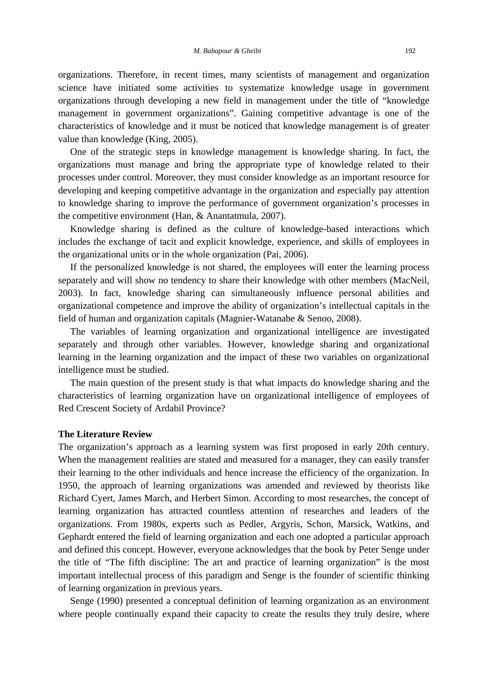organizations. Therefore, in recent times, many scientists of management and organization science have initiated some activities to systematize knowledge usage in government organizations through developing a new field in management under the title of "knowledge management in government organizations". Gaining competitive advantage is one of the characteristics of knowledge and it must be noticed that knowledge management is of greater value than knowledge (King, 2005).

 One of the strategic steps in knowledge management is knowledge sharing. In fact, the organizations must manage and bring the appropriate type of knowledge related to their processes under control. Moreover, they must consider knowledge as an important resource for developing and keeping competitive advantage in the organization and especially pay attention to knowledge sharing to improve the performance of government organization's processes in the competitive environment (Han, & Anantatmula, 2007).

 Knowledge sharing is defined as the culture of knowledge-based interactions which includes the exchange of tacit and explicit knowledge, experience, and skills of employees in the organizational units or in the whole organization (Pai, 2006).

 If the personalized knowledge is not shared, the employees will enter the learning process separately and will show no tendency to share their knowledge with other members (MacNeil, 2003). In fact, knowledge sharing can simultaneously influence personal abilities and organizational competence and improve the ability of organization's intellectual capitals in the field of human and organization capitals (Magnier-Watanabe & Senoo, 2008).

 The variables of learning organization and organizational intelligence are investigated separately and through other variables. However, knowledge sharing and organizational learning in the learning organization and the impact of these two variables on organizational intelligence must be studied.

 The main question of the present study is that what impacts do knowledge sharing and the characteristics of learning organization have on organizational intelligence of employees of Red Crescent Society of Ardabil Province?

#### **The Literature Review**

The organization's approach as a learning system was first proposed in early 20th century. When the management realities are stated and measured for a manager, they can easily transfer their learning to the other individuals and hence increase the efficiency of the organization. In 1950, the approach of learning organizations was amended and reviewed by theorists like Richard Cyert, James March, and Herbert Simon. According to most researches, the concept of learning organization has attracted countless attention of researches and leaders of the organizations. From 1980s, experts such as Pedler, Argyris, Schon, Marsick, Watkins, and Gephardt entered the field of learning organization and each one adopted a particular approach and defined this concept. However, everyone acknowledges that the book by Peter Senge under the title of "The fifth discipline: The art and practice of learning organization" is the most important intellectual process of this paradigm and Senge is the founder of scientific thinking of learning organization in previous years.

 Senge (1990) presented a conceptual definition of learning organization as an environment where people continually expand their capacity to create the results they truly desire, where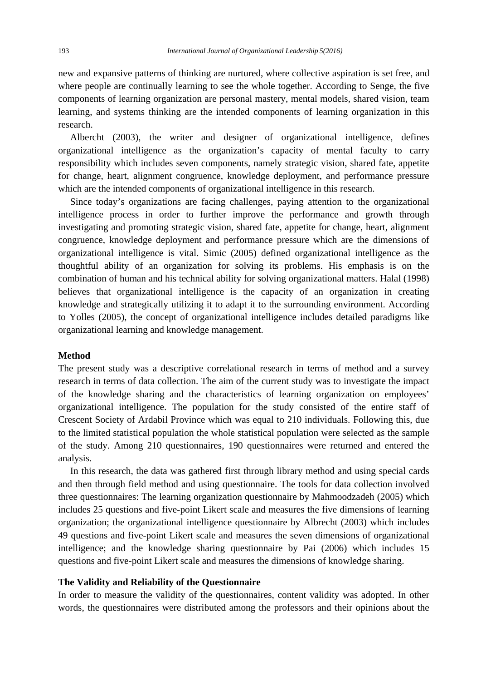new and expansive patterns of thinking are nurtured, where collective aspiration is set free, and where people are continually learning to see the whole together. According to Senge, the five components of learning organization are personal mastery, mental models, shared vision, team learning, and systems thinking are the intended components of learning organization in this research.

 Albercht (2003), the writer and designer of organizational intelligence, defines organizational intelligence as the organization's capacity of mental faculty to carry responsibility which includes seven components, namely strategic vision, shared fate, appetite for change, heart, alignment congruence, knowledge deployment, and performance pressure which are the intended components of organizational intelligence in this research.

 Since today's organizations are facing challenges, paying attention to the organizational intelligence process in order to further improve the performance and growth through investigating and promoting strategic vision, shared fate, appetite for change, heart, alignment congruence, knowledge deployment and performance pressure which are the dimensions of organizational intelligence is vital. Simic (2005) defined organizational intelligence as the thoughtful ability of an organization for solving its problems. His emphasis is on the combination of human and his technical ability for solving organizational matters. Halal (1998) believes that organizational intelligence is the capacity of an organization in creating knowledge and strategically utilizing it to adapt it to the surrounding environment. According to Yolles (2005), the concept of organizational intelligence includes detailed paradigms like organizational learning and knowledge management.

#### **Method**

The present study was a descriptive correlational research in terms of method and a survey research in terms of data collection. The aim of the current study was to investigate the impact of the knowledge sharing and the characteristics of learning organization on employees' organizational intelligence. The population for the study consisted of the entire staff of Crescent Society of Ardabil Province which was equal to 210 individuals. Following this, due to the limited statistical population the whole statistical population were selected as the sample of the study. Among 210 questionnaires, 190 questionnaires were returned and entered the analysis.

 In this research, the data was gathered first through library method and using special cards and then through field method and using questionnaire. The tools for data collection involved three questionnaires: The learning organization questionnaire by Mahmoodzadeh (2005) which includes 25 questions and five-point Likert scale and measures the five dimensions of learning organization; the organizational intelligence questionnaire by Albrecht (2003) which includes 49 questions and five-point Likert scale and measures the seven dimensions of organizational intelligence; and the knowledge sharing questionnaire by Pai (2006) which includes 15 questions and five-point Likert scale and measures the dimensions of knowledge sharing.

### **The Validity and Reliability of the Questionnaire**

In order to measure the validity of the questionnaires, content validity was adopted. In other words, the questionnaires were distributed among the professors and their opinions about the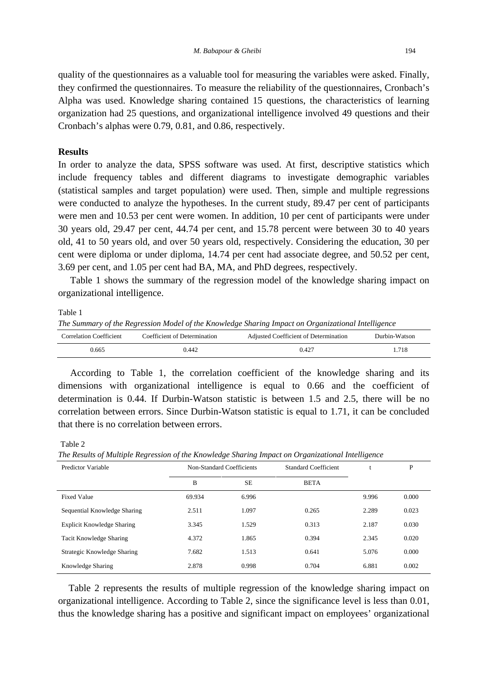quality of the questionnaires as a valuable tool for measuring the variables were asked. Finally, they confirmed the questionnaires. To measure the reliability of the questionnaires, Cronbach's Alpha was used. Knowledge sharing contained 15 questions, the characteristics of learning organization had 25 questions, and organizational intelligence involved 49 questions and their Cronbach's alphas were 0.79, 0.81, and 0.86, respectively.

### **Results**

In order to analyze the data, SPSS software was used. At first, descriptive statistics which include frequency tables and different diagrams to investigate demographic variables (statistical samples and target population) were used. Then, simple and multiple regressions were conducted to analyze the hypotheses. In the current study, 89.47 per cent of participants were men and 10.53 per cent were women. In addition, 10 per cent of participants were under 30 years old, 29.47 per cent, 44.74 per cent, and 15.78 percent were between 30 to 40 years old, 41 to 50 years old, and over 50 years old, respectively. Considering the education, 30 per cent were diploma or under diploma, 14.74 per cent had associate degree, and 50.52 per cent, 3.69 per cent, and 1.05 per cent had BA, MA, and PhD degrees, respectively.

 Table 1 shows the summary of the regression model of the knowledge sharing impact on organizational intelligence.

#### Table 1

*The Summary of the Regression Model of the Knowledge Sharing Impact on Organizational Intelligence* 

| <b>Correlation Coefficient</b> | Coefficient of Determination | Adjusted Coefficient of Determination | Durbin-Watson |
|--------------------------------|------------------------------|---------------------------------------|---------------|
| 0.665                          | 0.442                        | 0.427                                 | 1.718         |

 According to Table 1, the correlation coefficient of the knowledge sharing and its dimensions with organizational intelligence is equal to 0.66 and the coefficient of determination is 0.44. If Durbin-Watson statistic is between 1.5 and 2.5, there will be no correlation between errors. Since Durbin-Watson statistic is equal to 1.71, it can be concluded that there is no correlation between errors.

Table 2

*The Results of Multiple Regression of the Knowledge Sharing Impact on Organizational Intelligence* 

| Predictor Variable           | Non-Standard Coefficients |           | <b>Standard Coefficient</b> |       | P     |
|------------------------------|---------------------------|-----------|-----------------------------|-------|-------|
|                              | B                         | <b>SE</b> | <b>BETA</b>                 |       |       |
| <b>Fixed Value</b>           | 69.934                    | 6.996     |                             | 9.996 | 0.000 |
| Sequential Knowledge Sharing | 2.511                     | 1.097     | 0.265                       | 2.289 | 0.023 |
| Explicit Knowledge Sharing   | 3.345                     | 1.529     | 0.313                       | 2.187 | 0.030 |
| Tacit Knowledge Sharing      | 4.372                     | 1.865     | 0.394                       | 2.345 | 0.020 |
| Strategic Knowledge Sharing  | 7.682                     | 1.513     | 0.641                       | 5.076 | 0.000 |
| Knowledge Sharing            | 2.878                     | 0.998     | 0.704                       | 6.881 | 0.002 |

 Table 2 represents the results of multiple regression of the knowledge sharing impact on organizational intelligence. According to Table 2, since the significance level is less than 0.01, thus the knowledge sharing has a positive and significant impact on employees' organizational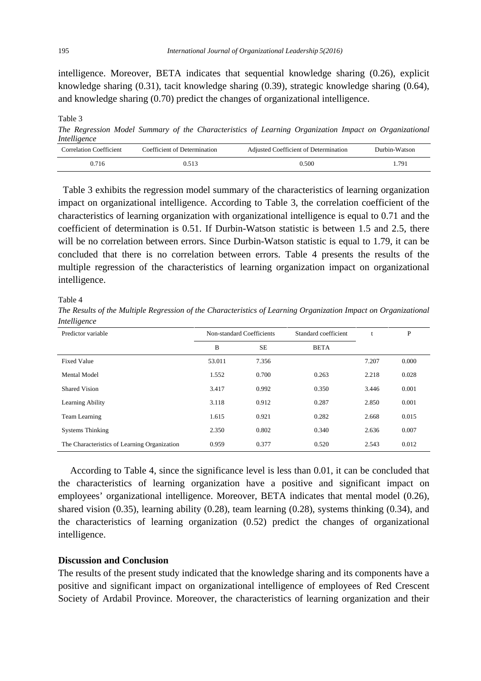intelligence. Moreover, BETA indicates that sequential knowledge sharing (0.26), explicit knowledge sharing (0.31), tacit knowledge sharing (0.39), strategic knowledge sharing (0.64), and knowledge sharing (0.70) predict the changes of organizational intelligence.

Table 3 *The Regression Model Summary of the Characteristics of Learning Organization Impact on Organizational Intelligence*  Correlation Coefficient Coefficient of Determination Adjusted Coefficient of Determination Durbin-Watson

| <b>Correlation Coefficient</b> | Coefficient of Determination | Adjusted Coefficient of Determination | Durbin-Watson |
|--------------------------------|------------------------------|---------------------------------------|---------------|
| 0.716                          | 0.513                        | 0.500                                 | .791          |
|                                |                              |                                       |               |

 Table 3 exhibits the regression model summary of the characteristics of learning organization impact on organizational intelligence. According to Table 3, the correlation coefficient of the characteristics of learning organization with organizational intelligence is equal to 0.71 and the coefficient of determination is 0.51. If Durbin-Watson statistic is between 1.5 and 2.5, there will be no correlation between errors. Since Durbin-Watson statistic is equal to 1.79, it can be concluded that there is no correlation between errors. Table 4 presents the results of the multiple regression of the characteristics of learning organization impact on organizational intelligence.

Table 4

*The Results of the Multiple Regression of the Characteristics of Learning Organization Impact on Organizational Intelligence* 

| Predictor variable                           | Non-standard Coefficients |           | Standard coefficient | t     | P     |
|----------------------------------------------|---------------------------|-----------|----------------------|-------|-------|
|                                              | B                         | <b>SE</b> | <b>BETA</b>          |       |       |
| <b>Fixed Value</b>                           | 53.011                    | 7.356     |                      | 7.207 | 0.000 |
| Mental Model                                 | 1.552                     | 0.700     | 0.263                | 2.218 | 0.028 |
| Shared Vision                                | 3.417                     | 0.992     | 0.350                | 3.446 | 0.001 |
| Learning Ability                             | 3.118                     | 0.912     | 0.287                | 2.850 | 0.001 |
| Team Learning                                | 1.615                     | 0.921     | 0.282                | 2.668 | 0.015 |
| <b>Systems Thinking</b>                      | 2.350                     | 0.802     | 0.340                | 2.636 | 0.007 |
| The Characteristics of Learning Organization | 0.959                     | 0.377     | 0.520                | 2.543 | 0.012 |

 According to Table 4, since the significance level is less than 0.01, it can be concluded that the characteristics of learning organization have a positive and significant impact on employees' organizational intelligence. Moreover, BETA indicates that mental model (0.26), shared vision (0.35), learning ability (0.28), team learning (0.28), systems thinking (0.34), and the characteristics of learning organization (0.52) predict the changes of organizational intelligence.

### **Discussion and Conclusion**

The results of the present study indicated that the knowledge sharing and its components have a positive and significant impact on organizational intelligence of employees of Red Crescent Society of Ardabil Province. Moreover, the characteristics of learning organization and their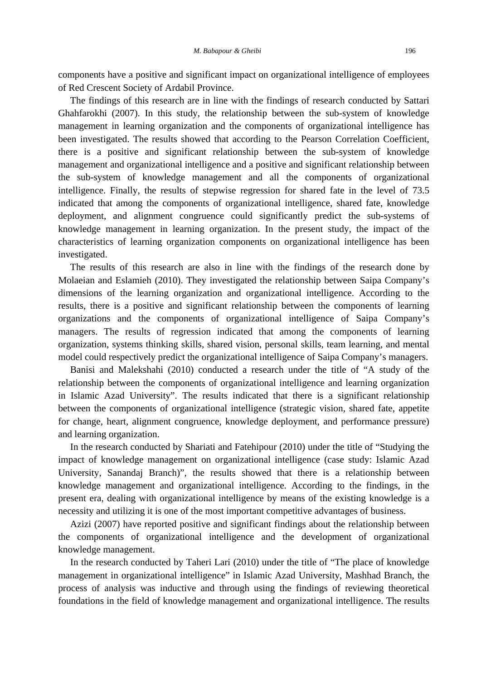components have a positive and significant impact on organizational intelligence of employees of Red Crescent Society of Ardabil Province.

 The findings of this research are in line with the findings of research conducted by Sattari Ghahfarokhi (2007). In this study, the relationship between the sub-system of knowledge management in learning organization and the components of organizational intelligence has been investigated. The results showed that according to the Pearson Correlation Coefficient, there is a positive and significant relationship between the sub-system of knowledge management and organizational intelligence and a positive and significant relationship between the sub-system of knowledge management and all the components of organizational intelligence. Finally, the results of stepwise regression for shared fate in the level of 73.5 indicated that among the components of organizational intelligence, shared fate, knowledge deployment, and alignment congruence could significantly predict the sub-systems of knowledge management in learning organization. In the present study, the impact of the characteristics of learning organization components on organizational intelligence has been investigated.

 The results of this research are also in line with the findings of the research done by Molaeian and Eslamieh (2010). They investigated the relationship between Saipa Company's dimensions of the learning organization and organizational intelligence. According to the results, there is a positive and significant relationship between the components of learning organizations and the components of organizational intelligence of Saipa Company's managers. The results of regression indicated that among the components of learning organization, systems thinking skills, shared vision, personal skills, team learning, and mental model could respectively predict the organizational intelligence of Saipa Company's managers.

 Banisi and Malekshahi (2010) conducted a research under the title of "A study of the relationship between the components of organizational intelligence and learning organization in Islamic Azad University". The results indicated that there is a significant relationship between the components of organizational intelligence (strategic vision, shared fate, appetite for change, heart, alignment congruence, knowledge deployment, and performance pressure) and learning organization.

 In the research conducted by Shariati and Fatehipour (2010) under the title of "Studying the impact of knowledge management on organizational intelligence (case study: Islamic Azad University, Sanandaj Branch)", the results showed that there is a relationship between knowledge management and organizational intelligence. According to the findings, in the present era, dealing with organizational intelligence by means of the existing knowledge is a necessity and utilizing it is one of the most important competitive advantages of business.

 Azizi (2007) have reported positive and significant findings about the relationship between the components of organizational intelligence and the development of organizational knowledge management.

 In the research conducted by Taheri Lari (2010) under the title of "The place of knowledge management in organizational intelligence" in Islamic Azad University, Mashhad Branch, the process of analysis was inductive and through using the findings of reviewing theoretical foundations in the field of knowledge management and organizational intelligence. The results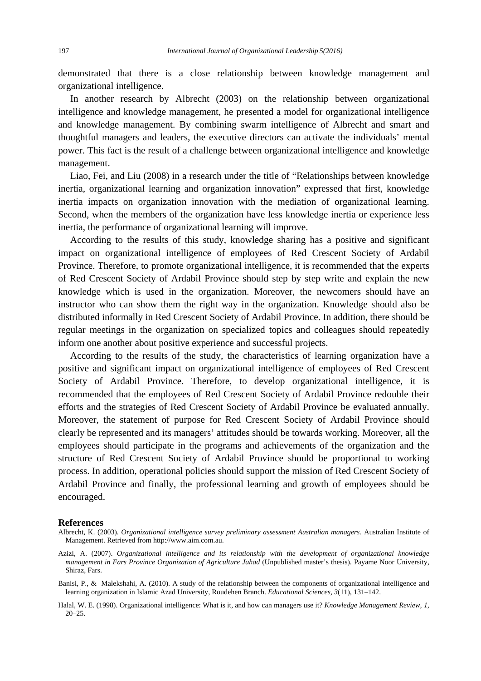demonstrated that there is a close relationship between knowledge management and organizational intelligence.

 In another research by Albrecht (2003) on the relationship between organizational intelligence and knowledge management, he presented a model for organizational intelligence and knowledge management. By combining swarm intelligence of Albrecht and smart and thoughtful managers and leaders, the executive directors can activate the individuals' mental power. This fact is the result of a challenge between organizational intelligence and knowledge management.

 Liao, Fei, and Liu (2008) in a research under the title of "Relationships between knowledge inertia, organizational learning and organization innovation" expressed that first, knowledge inertia impacts on organization innovation with the mediation of organizational learning. Second, when the members of the organization have less knowledge inertia or experience less inertia, the performance of organizational learning will improve.

 According to the results of this study, knowledge sharing has a positive and significant impact on organizational intelligence of employees of Red Crescent Society of Ardabil Province. Therefore, to promote organizational intelligence, it is recommended that the experts of Red Crescent Society of Ardabil Province should step by step write and explain the new knowledge which is used in the organization. Moreover, the newcomers should have an instructor who can show them the right way in the organization. Knowledge should also be distributed informally in Red Crescent Society of Ardabil Province. In addition, there should be regular meetings in the organization on specialized topics and colleagues should repeatedly inform one another about positive experience and successful projects.

 According to the results of the study, the characteristics of learning organization have a positive and significant impact on organizational intelligence of employees of Red Crescent Society of Ardabil Province. Therefore, to develop organizational intelligence, it is recommended that the employees of Red Crescent Society of Ardabil Province redouble their efforts and the strategies of Red Crescent Society of Ardabil Province be evaluated annually. Moreover, the statement of purpose for Red Crescent Society of Ardabil Province should clearly be represented and its managers' attitudes should be towards working. Moreover, all the employees should participate in the programs and achievements of the organization and the structure of Red Crescent Society of Ardabil Province should be proportional to working process. In addition, operational policies should support the mission of Red Crescent Society of Ardabil Province and finally, the professional learning and growth of employees should be encouraged.

#### **References**

- Azizi, A. (2007). *Organizational intelligence and its relationship with the development of organizational knowledge management in Fars Province Organization of Agriculture Jahad* (Unpublished master's thesis). Payame Noor University, Shiraz, Fars.
- Banisi, P., & Malekshahi, A. (2010). A study of the relationship between the components of organizational intelligence and learning organization in Islamic Azad University, Roudehen Branch. *Educational Sciences, 3*(11), 131–142.

Halal, W. E. (1998). Organizational intelligence: What is it, and how can managers use it? *Knowledge Management Review, 1*, 20–25.

Albrecht, K. (2003). *Organizational intelligence survey preliminary assessment Australian managers.* Australian Institute of Management. Retrieved from http://www.aim.com.au.